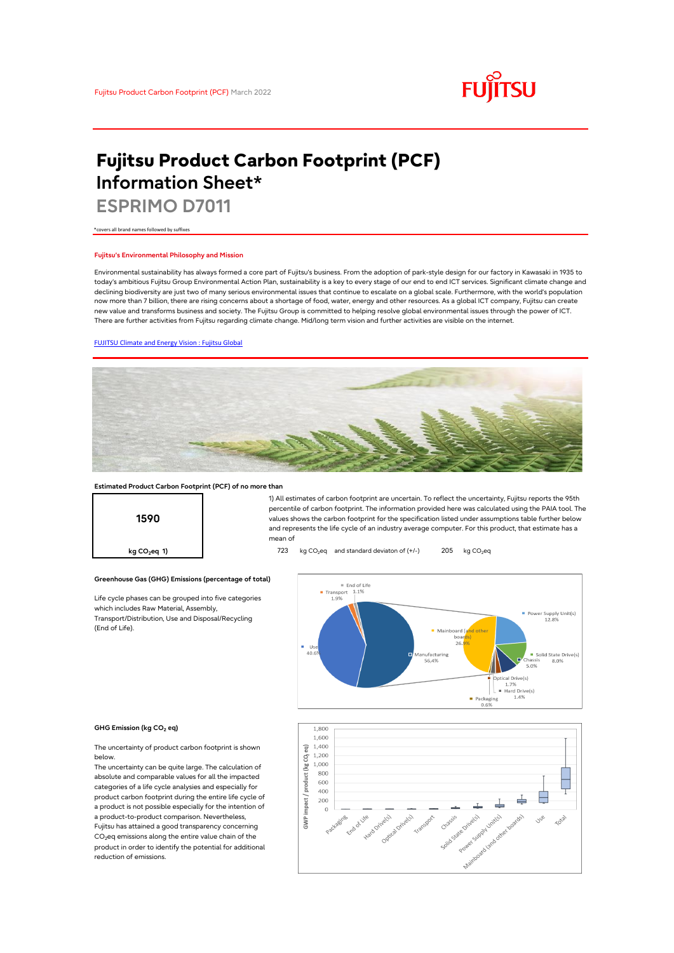

# **Fujitsu Product Carbon Footprint (PCF) Information Sheet\***

**ESPRIMO D7011**

\*covers all brand names followed by suffixes

### **Fujitsu's Environmental Philosophy and Mission**

Environmental sustainability has always formed a core part of Fujitsu's business. From the adoption of park-style design for our factory in Kawasaki in 1935 to today's ambitious Fujitsu Group Environmental Action Plan, sustainability is a key to every stage of our end to end ICT services. Significant climate change and declining biodiversity are just two of many serious environmental issues that continue to escalate on a global scale. Furthermore, with the world's population now more than 7 billion, there are rising concerns about a shortage of food, water, energy and other resources. As a global ICT company, Fujitsu can create new value and transforms business and society. The Fujitsu Group is committed to helping resolve global environmental issues through the power of ICT. There are further activities from Fujitsu regarding climate change. Mid/long term vision and further activities are visible on the internet.

### [FUJITSU Climate and Energy Vision : Fujitsu Global](https://www.fujitsu.com/global/about/environment/climate-energy-vision/)



### **Estimated Product Carbon Footprint (PCF) of no more than**

**Greenhouse Gas (GHG) Emissions (percentage of total)**

Life cycle phases can be grouped into five categories

which includes Raw Material, Assembly, Transport/Distribution, Use and Disposal/Recycling

**1590**

1) All estimates of carbon footprint are uncertain. To reflect the uncertainty, Fujitsu reports the 95th percentile of carbon footprint. The information provided here was calculated using the PAIA tool. The values shows the carbon footprint for the specification listed under assumptions table further below and represents the life cycle of an industry average computer. For this product, that estimate has a mean of

**kg CO<sub>2</sub>eq 1) https://edge.org/co 723** kg CO<sub>2</sub>eq and standard deviaton of (+/-) 205 kg CO<sub>2</sub>eq



#### **GHG Emission (kg CO2 eq)**

(End of Life).

The uncertainty of product carbon footprint is shown below.

The uncertainty can be quite large. The calculation of absolute and comparable values for all the impacted categories of a life cycle analysies and especially for product carbon footprint during the entire life cycle of a product is not possible especially for the intention of a product-to-product comparison. Nevertheless, Fujitsu has attained a good transparency concerning  $CO<sub>2</sub>$ eq emissions along the entire value chain of the product in order to identify the potential for additional reduction of emissions.